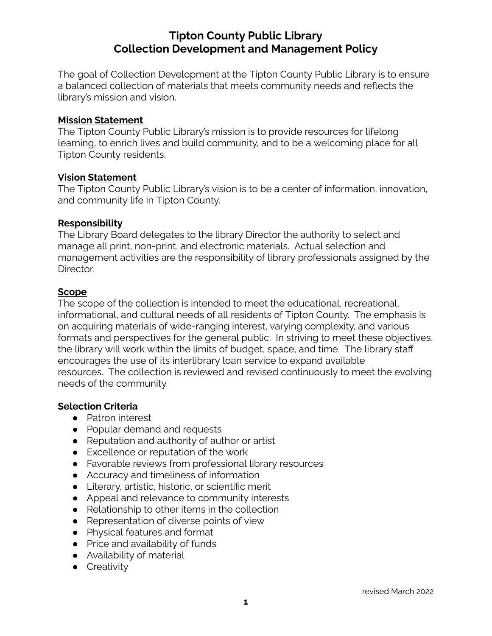# **Tipton County Public Library Collection Development and Management Policy**

The goal of Collection Development at the Tipton County Public Library is to ensure a balanced collection of materials that meets community needs and reflects the library's mission and vision.

### **Mission Statement**

The Tipton County Public Library's mission is to provide resources for lifelong learning, to enrich lives and build community, and to be a welcoming place for all Tipton County residents.

#### **Vision Statement**

The Tipton County Public Library's vision is to be a center of information, innovation, and community life in Tipton County.

### **Responsibility**

The Library Board delegates to the library Director the authority to select and manage all print, non-print, and electronic materials. Actual selection and management activities are the responsibility of library professionals assigned by the Director.

### **Scope**

The scope of the collection is intended to meet the educational, recreational, informational, and cultural needs of all residents of Tipton County. The emphasis is on acquiring materials of wide-ranging interest, varying complexity, and various formats and perspectives for the general public. In striving to meet these objectives, the library will work within the limits of budget, space, and time. The library staff encourages the use of its interlibrary loan service to expand available resources. The collection is reviewed and revised continuously to meet the evolving needs of the community.

### **Selection Criteria**

- Patron interest
- Popular demand and requests
- Reputation and authority of author or artist
- Excellence or reputation of the work
- Favorable reviews from professional library resources
- Accuracy and timeliness of information
- Literary, artistic, historic, or scientific merit
- Appeal and relevance to community interests
- Relationship to other items in the collection
- Representation of diverse points of view
- Physical features and format
- Price and availability of funds
- Availability of material
- **•** Creativity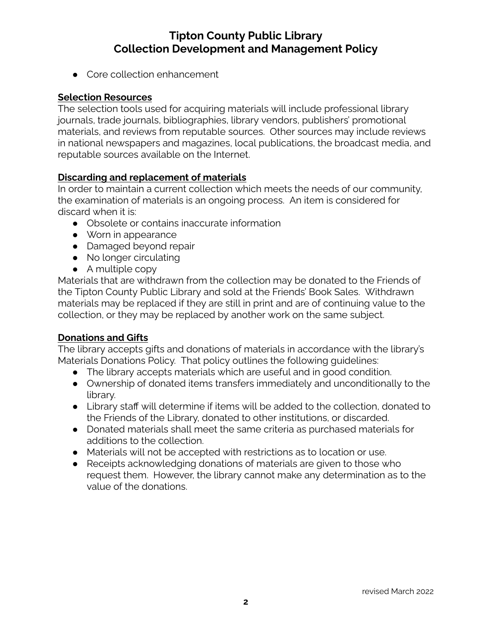# **Tipton County Public Library Collection Development and Management Policy**

● Core collection enhancement

### **Selection Resources**

The selection tools used for acquiring materials will include professional library journals, trade journals, bibliographies, library vendors, publishers' promotional materials, and reviews from reputable sources. Other sources may include reviews in national newspapers and magazines, local publications, the broadcast media, and reputable sources available on the Internet.

### **Discarding and replacement of materials**

In order to maintain a current collection which meets the needs of our community, the examination of materials is an ongoing process. An item is considered for discard when it is:

- Obsolete or contains inaccurate information
- Worn in appearance
- Damaged beyond repair
- No longer circulating
- $\bullet$  A multiple copy

Materials that are withdrawn from the collection may be donated to the Friends of the Tipton County Public Library and sold at the Friends' Book Sales. Withdrawn materials may be replaced if they are still in print and are of continuing value to the collection, or they may be replaced by another work on the same subject.

### **Donations and Gifts**

The library accepts gifts and donations of materials in accordance with the library's Materials Donations Policy. That policy outlines the following guidelines:

- The library accepts materials which are useful and in good condition.
- Ownership of donated items transfers immediately and unconditionally to the library.
- Library staff will determine if items will be added to the collection, donated to the Friends of the Library, donated to other institutions, or discarded.
- Donated materials shall meet the same criteria as purchased materials for additions to the collection.
- Materials will not be accepted with restrictions as to location or use.
- Receipts acknowledging donations of materials are given to those who request them. However, the library cannot make any determination as to the value of the donations.